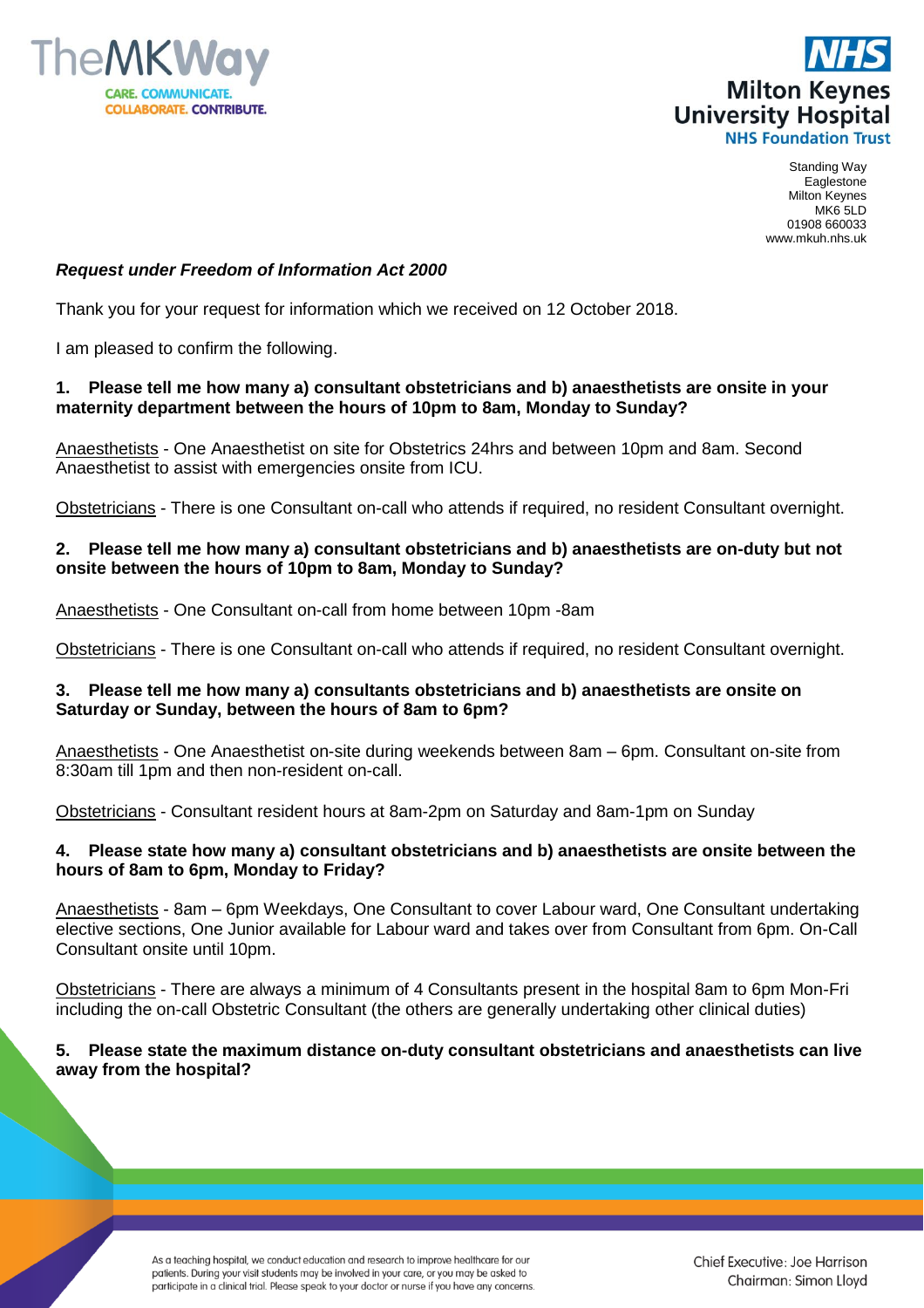



Standing Way Eaglestone Milton Keynes MK6 5LD 01908 660033 www.mkuh.nhs.uk

# *Request under Freedom of Information Act 2000*

Thank you for your request for information which we received on 12 October 2018.

I am pleased to confirm the following.

# **1. Please tell me how many a) consultant obstetricians and b) anaesthetists are onsite in your maternity department between the hours of 10pm to 8am, Monday to Sunday?**

Anaesthetists - One Anaesthetist on site for Obstetrics 24hrs and between 10pm and 8am. Second Anaesthetist to assist with emergencies onsite from ICU.

Obstetricians - There is one Consultant on-call who attends if required, no resident Consultant overnight.

# **2. Please tell me how many a) consultant obstetricians and b) anaesthetists are on-duty but not onsite between the hours of 10pm to 8am, Monday to Sunday?**

Anaesthetists - One Consultant on-call from home between 10pm -8am

Obstetricians - There is one Consultant on-call who attends if required, no resident Consultant overnight.

# **3. Please tell me how many a) consultants obstetricians and b) anaesthetists are onsite on Saturday or Sunday, between the hours of 8am to 6pm?**

Anaesthetists - One Anaesthetist on-site during weekends between 8am – 6pm. Consultant on-site from 8:30am till 1pm and then non-resident on-call.

Obstetricians - Consultant resident hours at 8am-2pm on Saturday and 8am-1pm on Sunday

# **4. Please state how many a) consultant obstetricians and b) anaesthetists are onsite between the hours of 8am to 6pm, Monday to Friday?**

Anaesthetists - 8am – 6pm Weekdays, One Consultant to cover Labour ward, One Consultant undertaking elective sections, One Junior available for Labour ward and takes over from Consultant from 6pm. On-Call Consultant onsite until 10pm.

Obstetricians - There are always a minimum of 4 Consultants present in the hospital 8am to 6pm Mon-Fri including the on-call Obstetric Consultant (the others are generally undertaking other clinical duties)

# **5. Please state the maximum distance on-duty consultant obstetricians and anaesthetists can live away from the hospital?**

As a teaching hospital, we conduct education and research to improve healthcare for our patients. During your visit students may be involved in your care, or you may be asked to participate in a clinical trial. Please speak to your doctor or nurse if you have any concerns.